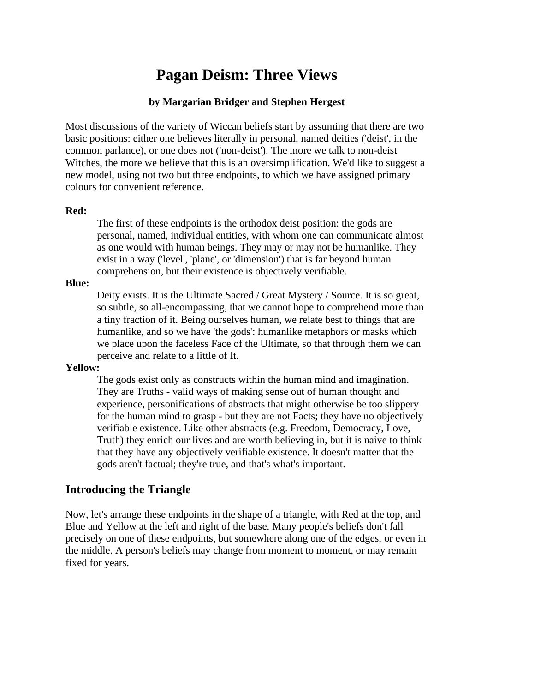# **Pagan Deism: Three Views**

### **by Margarian Bridger and Stephen Hergest**

Most discussions of the variety of Wiccan beliefs start by assuming that there are two basic positions: either one believes literally in personal, named deities ('deist', in the common parlance), or one does not ('non-deist'). The more we talk to non-deist Witches, the more we believe that this is an oversimplification. We'd like to suggest a new model, using not two but three endpoints, to which we have assigned primary colours for convenient reference.

#### **Red:**

The first of these endpoints is the orthodox deist position: the gods are personal, named, individual entities, with whom one can communicate almost as one would with human beings. They may or may not be humanlike. They exist in a way ('level', 'plane', or 'dimension') that is far beyond human comprehension, but their existence is objectively verifiable.

### **Blue:**

Deity exists. It is the Ultimate Sacred / Great Mystery / Source. It is so great, so subtle, so all-encompassing, that we cannot hope to comprehend more than a tiny fraction of it. Being ourselves human, we relate best to things that are humanlike, and so we have 'the gods': humanlike metaphors or masks which we place upon the faceless Face of the Ultimate, so that through them we can perceive and relate to a little of It.

#### **Yellow:**

The gods exist only as constructs within the human mind and imagination. They are Truths - valid ways of making sense out of human thought and experience, personifications of abstracts that might otherwise be too slippery for the human mind to grasp - but they are not Facts; they have no objectively verifiable existence. Like other abstracts (e.g. Freedom, Democracy, Love, Truth) they enrich our lives and are worth believing in, but it is naive to think that they have any objectively verifiable existence. It doesn't matter that the gods aren't factual; they're true, and that's what's important.

# **Introducing the Triangle**

Now, let's arrange these endpoints in the shape of a triangle, with Red at the top, and Blue and Yellow at the left and right of the base. Many people's beliefs don't fall precisely on one of these endpoints, but somewhere along one of the edges, or even in the middle. A person's beliefs may change from moment to moment, or may remain fixed for years.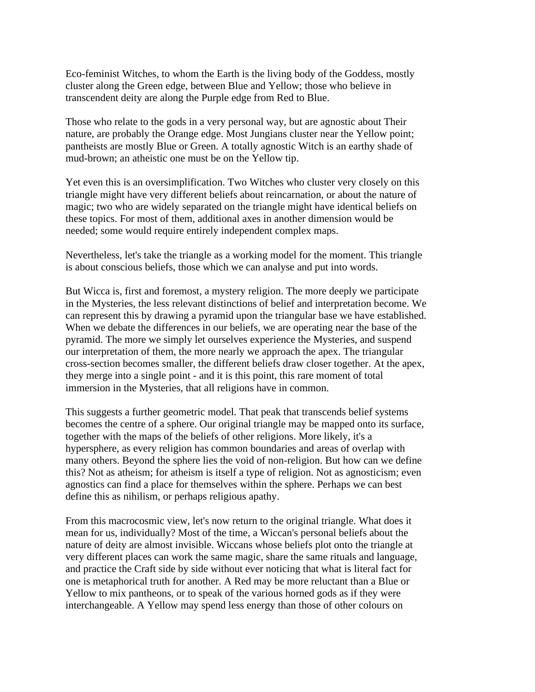Eco-feminist Witches, to whom the Earth is the living body of the Goddess, mostly cluster along the Green edge, between Blue and Yellow; those who believe in transcendent deity are along the Purple edge from Red to Blue.

Those who relate to the gods in a very personal way, but are agnostic about Their nature, are probably the Orange edge. Most Jungians cluster near the Yellow point; pantheists are mostly Blue or Green. A totally agnostic Witch is an earthy shade of mud-brown; an atheistic one must be on the Yellow tip.

Yet even this is an oversimplification. Two Witches who cluster very closely on this triangle might have very different beliefs about reincarnation, or about the nature of magic; two who are widely separated on the triangle might have identical beliefs on these topics. For most of them, additional axes in another dimension would be needed; some would require entirely independent complex maps.

Nevertheless, let's take the triangle as a working model for the moment. This triangle is about conscious beliefs, those which we can analyse and put into words.

But Wicca is, first and foremost, a mystery religion. The more deeply we participate in the Mysteries, the less relevant distinctions of belief and interpretation become. We can represent this by drawing a pyramid upon the triangular base we have established. When we debate the differences in our beliefs, we are operating near the base of the pyramid. The more we simply let ourselves experience the Mysteries, and suspend our interpretation of them, the more nearly we approach the apex. The triangular cross-section becomes smaller, the different beliefs draw closer together. At the apex, they merge into a single point - and it is this point, this rare moment of total immersion in the Mysteries, that all religions have in common.

This suggests a further geometric model. That peak that transcends belief systems becomes the centre of a sphere. Our original triangle may be mapped onto its surface, together with the maps of the beliefs of other religions. More likely, it's a hypersphere, as every religion has common boundaries and areas of overlap with many others. Beyond the sphere lies the void of non-religion. But how can we define this? Not as atheism; for atheism is itself a type of religion. Not as agnosticism; even agnostics can find a place for themselves within the sphere. Perhaps we can best define this as nihilism, or perhaps religious apathy.

From this macrocosmic view, let's now return to the original triangle. What does it mean for us, individually? Most of the time, a Wiccan's personal beliefs about the nature of deity are almost invisible. Wiccans whose beliefs plot onto the triangle at very different places can work the same magic, share the same rituals and language, and practice the Craft side by side without ever noticing that what is literal fact for one is metaphorical truth for another. A Red may be more reluctant than a Blue or Yellow to mix pantheons, or to speak of the various horned gods as if they were interchangeable. A Yellow may spend less energy than those of other colours on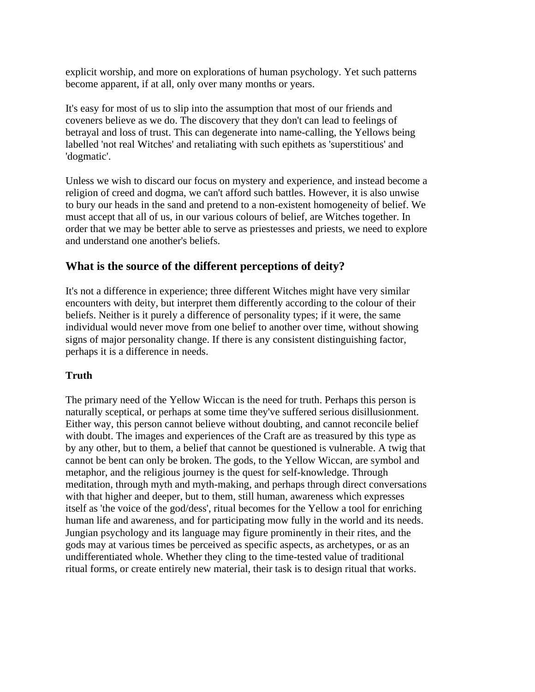explicit worship, and more on explorations of human psychology. Yet such patterns become apparent, if at all, only over many months or years.

It's easy for most of us to slip into the assumption that most of our friends and coveners believe as we do. The discovery that they don't can lead to feelings of betrayal and loss of trust. This can degenerate into name-calling, the Yellows being labelled 'not real Witches' and retaliating with such epithets as 'superstitious' and 'dogmatic'.

Unless we wish to discard our focus on mystery and experience, and instead become a religion of creed and dogma, we can't afford such battles. However, it is also unwise to bury our heads in the sand and pretend to a non-existent homogeneity of belief. We must accept that all of us, in our various colours of belief, are Witches together. In order that we may be better able to serve as priestesses and priests, we need to explore and understand one another's beliefs.

# **What is the source of the different perceptions of deity?**

It's not a difference in experience; three different Witches might have very similar encounters with deity, but interpret them differently according to the colour of their beliefs. Neither is it purely a difference of personality types; if it were, the same individual would never move from one belief to another over time, without showing signs of major personality change. If there is any consistent distinguishing factor, perhaps it is a difference in needs.

## **Truth**

The primary need of the Yellow Wiccan is the need for truth. Perhaps this person is naturally sceptical, or perhaps at some time they've suffered serious disillusionment. Either way, this person cannot believe without doubting, and cannot reconcile belief with doubt. The images and experiences of the Craft are as treasured by this type as by any other, but to them, a belief that cannot be questioned is vulnerable. A twig that cannot be bent can only be broken. The gods, to the Yellow Wiccan, are symbol and metaphor, and the religious journey is the quest for self-knowledge. Through meditation, through myth and myth-making, and perhaps through direct conversations with that higher and deeper, but to them, still human, awareness which expresses itself as 'the voice of the god/dess', ritual becomes for the Yellow a tool for enriching human life and awareness, and for participating mow fully in the world and its needs. Jungian psychology and its language may figure prominently in their rites, and the gods may at various times be perceived as specific aspects, as archetypes, or as an undifferentiated whole. Whether they cling to the time-tested value of traditional ritual forms, or create entirely new material, their task is to design ritual that works.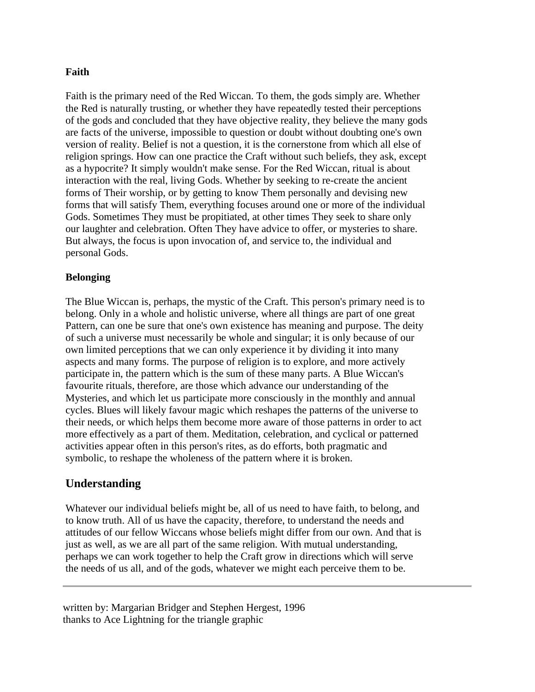## **Faith**

Faith is the primary need of the Red Wiccan. To them, the gods simply are. Whether the Red is naturally trusting, or whether they have repeatedly tested their perceptions of the gods and concluded that they have objective reality, they believe the many gods are facts of the universe, impossible to question or doubt without doubting one's own version of reality. Belief is not a question, it is the cornerstone from which all else of religion springs. How can one practice the Craft without such beliefs, they ask, except as a hypocrite? It simply wouldn't make sense. For the Red Wiccan, ritual is about interaction with the real, living Gods. Whether by seeking to re-create the ancient forms of Their worship, or by getting to know Them personally and devising new forms that will satisfy Them, everything focuses around one or more of the individual Gods. Sometimes They must be propitiated, at other times They seek to share only our laughter and celebration. Often They have advice to offer, or mysteries to share. But always, the focus is upon invocation of, and service to, the individual and personal Gods.

## **Belonging**

The Blue Wiccan is, perhaps, the mystic of the Craft. This person's primary need is to belong. Only in a whole and holistic universe, where all things are part of one great Pattern, can one be sure that one's own existence has meaning and purpose. The deity of such a universe must necessarily be whole and singular; it is only because of our own limited perceptions that we can only experience it by dividing it into many aspects and many forms. The purpose of religion is to explore, and more actively participate in, the pattern which is the sum of these many parts. A Blue Wiccan's favourite rituals, therefore, are those which advance our understanding of the Mysteries, and which let us participate more consciously in the monthly and annual cycles. Blues will likely favour magic which reshapes the patterns of the universe to their needs, or which helps them become more aware of those patterns in order to act more effectively as a part of them. Meditation, celebration, and cyclical or patterned activities appear often in this person's rites, as do efforts, both pragmatic and symbolic, to reshape the wholeness of the pattern where it is broken.

# **Understanding**

Whatever our individual beliefs might be, all of us need to have faith, to belong, and to know truth. All of us have the capacity, therefore, to understand the needs and attitudes of our fellow Wiccans whose beliefs might differ from our own. And that is just as well, as we are all part of the same religion. With mutual understanding, perhaps we can work together to help the Craft grow in directions which will serve the needs of us all, and of the gods, whatever we might each perceive them to be.

written by: Margarian Bridger and Stephen Hergest, 1996 thanks to Ace Lightning for the triangle graphic